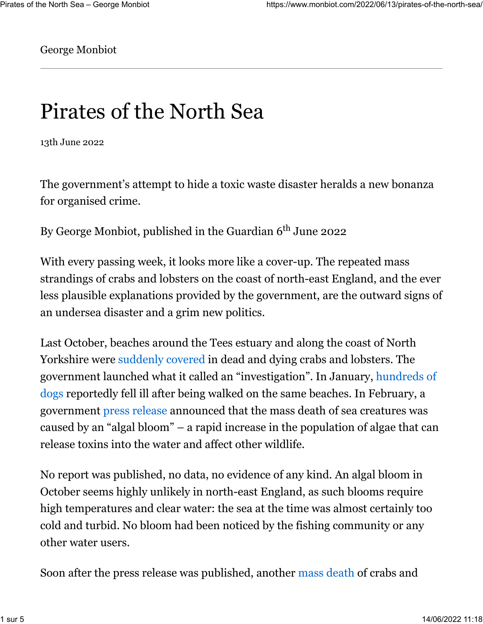[George Monbiot](https://www.monbiot.com/)

## Pirates of the North Sea

13th June 2022

The government's attempt to hide a toxic waste disaster heralds a new bonanza for organised crime.

By George Monbiot, published in the Guardian 6<sup>th</sup> June 2022

With every passing week, it looks more like a cover-up. The repeated mass strandings of crabs and lobsters on the coast of north-east England, and the ever less plausible explanations provided by the government, are the outward signs of an undersea disaster and a grim new politics.

Last October, beaches around the Tees estuary and along the coast of North Yorkshire were [suddenly covered](https://www.theguardian.com/uk-news/2021/oct/29/apocalyptic-dead-crabs-litter-beaches-north-east-england) in dead and dying crabs and lobsters. The government launched what it called an "investigation". In January, [hundreds of](https://www.theguardian.com/uk-news/2022/jan/12/warning-as-hundreds-of-dogs-fall-sick-after-beach-walks-on-yorkshire-coast) [dogs](https://www.theguardian.com/uk-news/2022/jan/12/warning-as-hundreds-of-dogs-fall-sick-after-beach-walks-on-yorkshire-coast) reportedly fell ill after being walked on the same beaches. In February, a government [press release](https://www.gov.uk/government/news/update-on-investigation-into-the-deaths-of-crabs-and-lobster-in-the-north-east) announced that the mass death of sea creatures was caused by an "algal bloom" – a rapid increase in the population of algae that can release toxins into the water and affect other wildlife.

No report was published, no data, no evidence of any kind. An algal bloom in October seems highly unlikely in north-east England, as such blooms require high temperatures and clear water: the sea at the time was almost certainly too cold and turbid. No bloom had been noticed by the fishing community or any other water users.

Soon after the press release was published, another [mass death](https://www.thenorthernecho.co.uk/news/19941009.defra-carrying-tests-continuing-crab-deaths/) of crabs and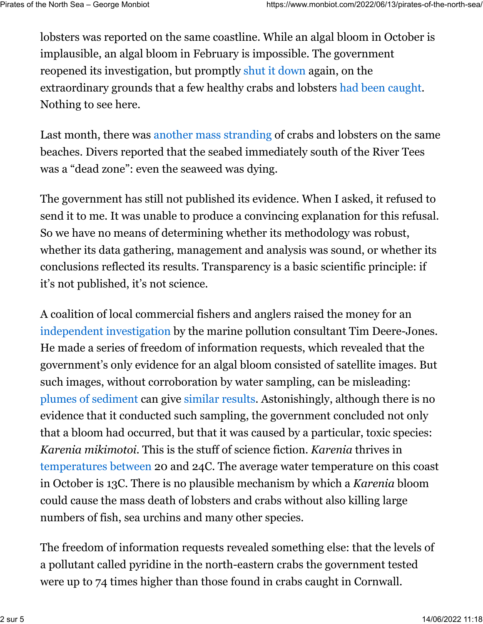lobsters was reported on the same coastline. While an algal bloom in October is implausible, an algal bloom in February is impossible. The government reopened its investigation, but promptly [shut it down](https://www.yorkshirepost.co.uk/news/people/yorkshire-mass-crab-and-lobster-deaths-government-close-investigation-for-second-time-after-healthy-specimens-reported-3630153) again, on the extraordinary grounds that a few healthy crabs and lobsters [had been caught.](https://www.gazettelive.co.uk/news/teesside-news/further-probe-crustacean-deaths-along-23545749) Nothing to see here.

Last month, there was [another mass stranding](https://www.gazettelive.co.uk/news/teesside-news/its-dead-zone-concerns-grow-23914713) of crabs and lobsters on the same beaches. Divers reported that the seabed immediately south of the River Tees was a "dead zone": even the seaweed was dying.

The government has still not published its evidence. When I asked, it refused to send it to me. It was unable to produce a convincing explanation for this refusal. So we have no means of determining whether its methodology was robust, whether its data gathering, management and analysis was sound, or whether its conclusions reflected its results. Transparency is a basic scientific principle: if it's not published, it's not science.

A coalition of local commercial fishers and anglers raised the money for an [independent investigation](https://www.whitbylobsterhatchery.co.uk/storage/pdf/NEFC-MASS-MORTALITY-REPORT-TDJ-(MARCH-2022).pdf) by the marine pollution consultant Tim Deere-Jones. He made a series of freedom of information requests, which revealed that the government's only evidence for an algal bloom consisted of satellite images. But such images, without corroboration by water sampling, can be misleading: [plumes of sediment](https://www.frontiersin.org/articles/10.3389/fmars.2020.00337/full) can give [similar results.](https://earthobservatory.nasa.gov/images/89154/algae-bloom-or-swirling-sediment) Astonishingly, although there is no evidence that it conducted such sampling, the government concluded not only that a bloom had occurred, but that it was caused by a particular, toxic species: *Karenia mikimotoi*. This is the stuff of science fiction. *Karenia* thrives in [temperatures between](https://link.springer.com/article/10.1007/s12601-016-0056-2) 20 and 24C. The average water temperature on this coast in October is 13C. There is no plausible mechanism by which a *Karenia* bloom could cause the mass death of lobsters and crabs without also killing large numbers of fish, sea urchins and many other species.

The freedom of information requests revealed something else: that the levels of a pollutant called pyridine in the north-eastern crabs the government tested were up to 74 times higher than those found in crabs caught in Cornwall.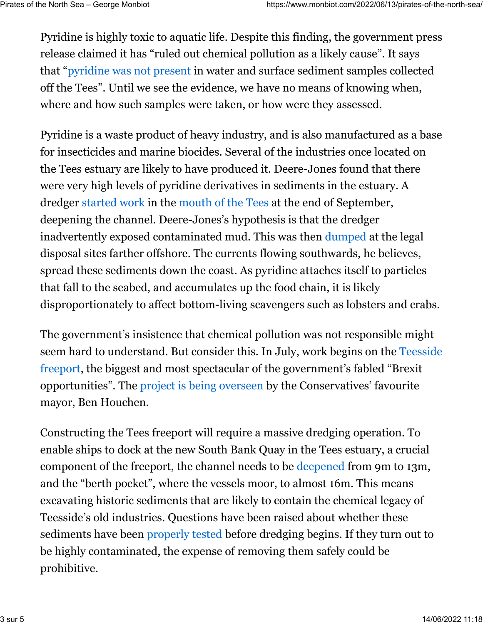Pyridine is highly toxic to aquatic life. Despite this finding, the government press release claimed it has "ruled out chemical pollution as a likely cause". It says that "[pyridine was not present](https://earthobservatory.nasa.gov/images/89154/algae-bloom-or-swirling-sediment) in water and surface sediment samples collected off the Tees". Until we see the evidence, we have no means of knowing when, where and how such samples were taken, or how were they assessed.

Pyridine is a waste product of heavy industry, and is also manufactured as a base for insecticides and marine biocides. Several of the industries once located on the Tees estuary are likely to have produced it. Deere-Jones found that there were very high levels of pyridine derivatives in sediments in the estuary. A dredger [started work](https://www.gazettelive.co.uk/news/teesside-news/dredging-taken-place-mouth-river-23365429) in the [mouth of the Tees](https://voyage.vesselfinder.com/fc1a3a2314b1fa47175d58b9d77165fe) at the end of September, deepening the channel. Deere-Jones's hypothesis is that the dredger inadvertently exposed contaminated mud. This was then [dumped](https://www.whitbyseaanglers.com/north-east-fishing-collective.html) at the legal disposal sites farther offshore. The currents flowing southwards, he believes, spread these sediments down the coast. As pyridine attaches itself to particles that fall to the seabed, and accumulates up the food chain, it is likely disproportionately to affect bottom-living scavengers such as lobsters and crabs.

The government's insistence that chemical pollution was not responsible might seem hard to understand. But consider this. In July, work begins on the [Teesside](https://teesvalley-ca.gov.uk/teesside-freeport/) [freeport](https://teesvalley-ca.gov.uk/teesside-freeport/), the biggest and most spectacular of the government's fabled "Brexit opportunities". The [project is being overseen](https://www.theguardian.com/business/2021/nov/13/low-taxes-and-levelling-up-the-great-freeport-experiment-comes-to-teesside) by the Conservatives' favourite mayor, Ben Houchen.

Constructing the Tees freeport will require a massive dredging operation. To enable ships to dock at the new South Bank Quay in the Tees estuary, a crucial component of the freeport, the channel needs to be [deepened](https://www.teesvalleymonitor.com/troubled-waters-the-forces-behind-the-death-of-the-tees) from 9m to 13m, and the "berth pocket", where the vessels moor, to almost 16m. This means excavating historic sediments that are likely to contain the chemical legacy of Teesside's old industries. Questions have been raised about whether these sediments have been [properly tested](https://www.teesvalleymonitor.com/troubled-waters-the-forces-behind-the-death-of-the-tees) before dredging begins. If they turn out to be highly contaminated, the expense of removing them safely could be prohibitive.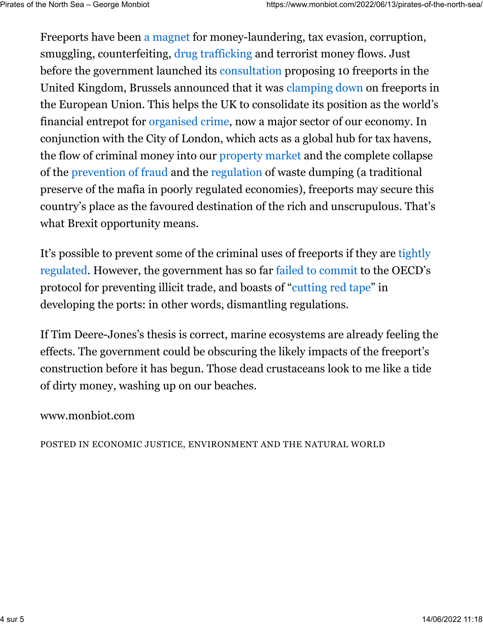Freeports have been [a magnet](https://www.europarl.europa.eu/cmsdata/155721/EPRS_STUD_627114_Money%20laundering-FINAL.pdf) for money-laundering, tax evasion, corruption, smuggling, counterfeiting, [drug trafficking](https://committees.parliament.uk/writtenevidence/5407/pdf/) and terrorist money flows. Just before the government launched its [consultation](https://www.gov.uk/government/consultations/freeports-consultation) proposing 10 freeports in the United Kingdom, Brussels announced that it was [clamping down](https://www.theguardian.com/world/2020/feb/10/eu-clamps-down-free-ports-zones-crime-terror-links) on freeports in the European Union. This helps the UK to consolidate its position as the world's financial entrepot for [organised crime,](https://www.theguardian.com/commentisfree/2021/dec/10/britain-global-corruption-liz-truss-democracy) now a major sector of our economy. In conjunction with the City of London, which acts as a global hub for tax havens, the flow of criminal money into our [property market](https://www.theguardian.com/uk-news/2015/jul/25/london-housing-market-launder-offshore-tax-havens) and the complete collapse of the [prevention of fraud](https://www.theguardian.com/commentisfree/2021/may/12/laws-protect-scams-enforcement-gutted) and the [regulation](https://www.theguardian.com/commentisfree/2021/nov/24/waste-dumping-uk-environment) of waste dumping (a traditional preserve of the mafia in poorly regulated economies), freeports may secure this country's place as the favoured destination of the rich and unscrupulous. That's what Brexit opportunity means.

It's possible to prevent some of the criminal uses of freeports if they are [tightly](https://static1.squarespace.com/static/5c12a68fc258b4c36480afb6/t/607944456e6a5f76de2d2d68/1618560088997/Briefing+Note_+Freeports+-+First+Port+of+Call+for+Financial+Crime.pdf) [regulated.](https://static1.squarespace.com/static/5c12a68fc258b4c36480afb6/t/607944456e6a5f76de2d2d68/1618560088997/Briefing+Note_+Freeports+-+First+Port+of+Call+for+Financial+Crime.pdf) However, the government has so far [failed to commit](https://committees.parliament.uk/writtenevidence/5407/pdf/) to the OECD's protocol for preventing illicit trade, and boasts of ["cutting red tape](https://assets.publishing.service.gov.uk/government/uploads/system/uploads/attachment_data/file/878352/Freeports_Consultation_Extension.pdf)" in developing the ports: in other words, dismantling regulations.

If Tim Deere-Jones's thesis is correct, marine ecosystems are already feeling the effects. The government could be obscuring the likely impacts of the freeport's construction before it has begun. Those dead crustaceans look to me like a tide of dirty money, washing up on our beaches.

www.monbiot.com

POSTED IN [ECONOMIC JUSTICE](https://www.monbiot.com/category/economic-justice/), [ENVIRONMENT AND THE NATURAL WORLD](https://www.monbiot.com/category/environment/)